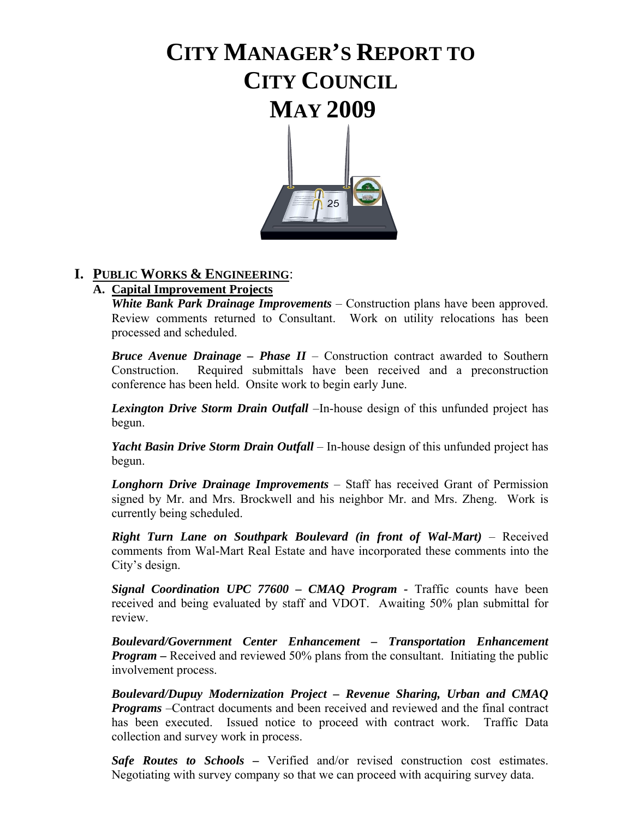# **CITY MANAGER'S REPORT TO CITY COUNCIL MAY 2009**



# **I. PUBLIC WORKS & ENGINEERING**:

# **A. Capital Improvement Projects**

 *White Bank Park Drainage Improvements* – Construction plans have been approved. Review comments returned to Consultant. Work on utility relocations has been processed and scheduled.

*Bruce Avenue Drainage – Phase II* – Construction contract awarded to Southern Construction. Required submittals have been received and a preconstruction conference has been held. Onsite work to begin early June.

*Lexington Drive Storm Drain Outfall* –In-house design of this unfunded project has begun.

*Yacht Basin Drive Storm Drain Outfall* – In-house design of this unfunded project has begun.

 *Longhorn Drive Drainage Improvements* – Staff has received Grant of Permission signed by Mr. and Mrs. Brockwell and his neighbor Mr. and Mrs. Zheng. Work is currently being scheduled.

*Right Turn Lane on Southpark Boulevard (in front of Wal-Mart)* – Received comments from Wal-Mart Real Estate and have incorporated these comments into the City's design.

**Signal Coordination UPC 77600 – CMAQ Program -** Traffic counts have been received and being evaluated by staff and VDOT. Awaiting 50% plan submittal for review.

*Boulevard/Government Center Enhancement – Transportation Enhancement Program –* Received and reviewed 50% plans from the consultant. Initiating the public involvement process.

*Boulevard/Dupuy Modernization Project – Revenue Sharing, Urban and CMAQ Programs* –Contract documents and been received and reviewed and the final contract has been executed. Issued notice to proceed with contract work. Traffic Data collection and survey work in process.

 *Safe Routes to Schools* **–** Verified and/or revised construction cost estimates. Negotiating with survey company so that we can proceed with acquiring survey data.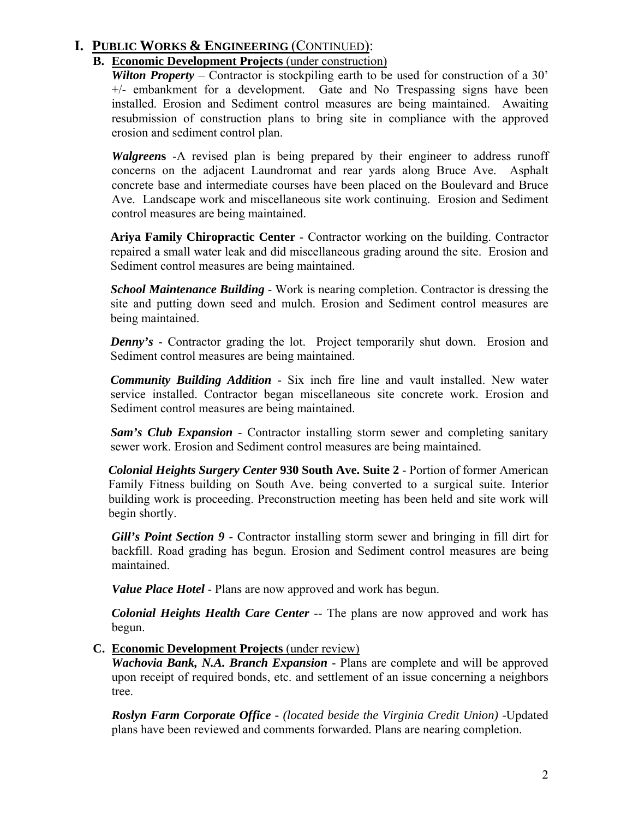### **B. Economic Development Projects** (under construction)

*Wilton Property* – Contractor is stockpiling earth to be used for construction of a 30' +/- embankment for a development. Gate and No Trespassing signs have been installed. Erosion and Sediment control measures are being maintained. Awaiting resubmission of construction plans to bring site in compliance with the approved erosion and sediment control plan.

*Walgreen***s** -A revised plan is being prepared by their engineer to address runoff concerns on the adjacent Laundromat and rear yards along Bruce Ave. Asphalt concrete base and intermediate courses have been placed on the Boulevard and Bruce Ave. Landscape work and miscellaneous site work continuing. Erosion and Sediment control measures are being maintained.

**Ariya Family Chiropractic Center** - Contractor working on the building. Contractor repaired a small water leak and did miscellaneous grading around the site. Erosion and Sediment control measures are being maintained.

*School Maintenance Building* - Work is nearing completion. Contractor is dressing the site and putting down seed and mulch. Erosion and Sediment control measures are being maintained.

*Denny's* - Contractor grading the lot. Project temporarily shut down. Erosion and Sediment control measures are being maintained.

*Community Building Addition* - Six inch fire line and vault installed. New water service installed. Contractor began miscellaneous site concrete work. Erosion and Sediment control measures are being maintained.

*Sam's Club Expansion* - Contractor installing storm sewer and completing sanitary sewer work. Erosion and Sediment control measures are being maintained.

*Colonial Heights Surgery Center* **930 South Ave. Suite 2** - Portion of former American Family Fitness building on South Ave. being converted to a surgical suite. Interior building work is proceeding. Preconstruction meeting has been held and site work will begin shortly.

*Gill's Point Section 9 -* Contractor installing storm sewer and bringing in fill dirt for backfill. Road grading has begun. Erosion and Sediment control measures are being maintained.

 *Value Place Hotel* - Plans are now approved and work has begun.

*Colonial Heights Health Care Center* -- The plans are now approved and work has begun.

**C. Economic Development Projects** (under review)

*Wachovia Bank, N.A. Branch Expansion - Plans are complete and will be approved*  upon receipt of required bonds, etc. and settlement of an issue concerning a neighbors tree.

 *Roslyn Farm Corporate Office - (located beside the Virginia Credit Union) -*Updated plans have been reviewed and comments forwarded. Plans are nearing completion.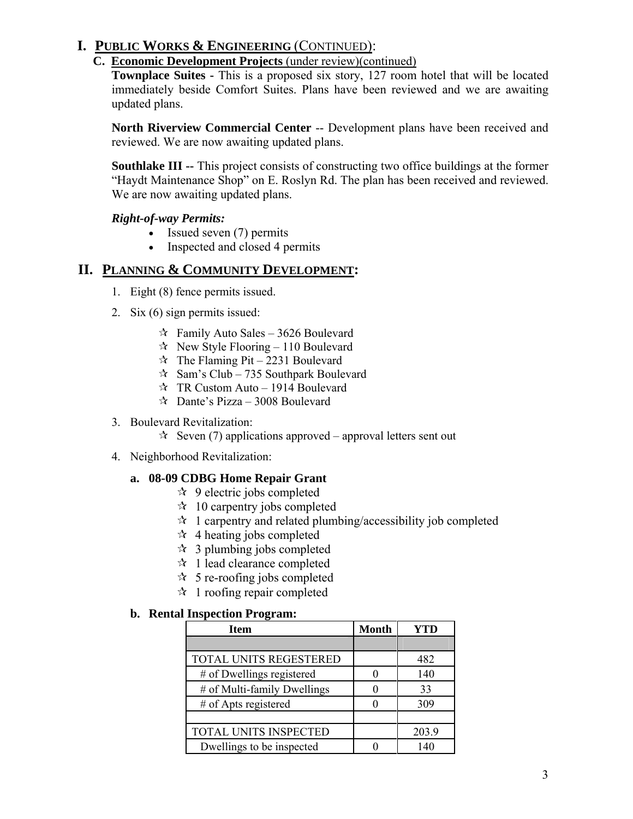### **C. Economic Development Projects** (under review)(continued)

**Townplace Suites -** This is a proposed six story, 127 room hotel that will be located immediately beside Comfort Suites. Plans have been reviewed and we are awaiting updated plans.

 **North Riverview Commercial Center** -- Development plans have been received and reviewed. We are now awaiting updated plans.

 **Southlake III --** This project consists of constructing two office buildings at the former "Haydt Maintenance Shop" on E. Roslyn Rd. The plan has been received and reviewed. We are now awaiting updated plans.

### *Right-of-way Permits:*

- Issued seven (7) permits
- Inspected and closed 4 permits

### **II. PLANNING & COMMUNITY DEVELOPMENT:**

- 1. Eight (8) fence permits issued.
- 2. Six (6) sign permits issued:
	- $\approx$  Family Auto Sales 3626 Boulevard
	- $\approx$  New Style Flooring 110 Boulevard
	- $\approx$  The Flaming Pit 2231 Boulevard
	- $\approx$  Sam's Club 735 Southpark Boulevard
	- $\forall$  TR Custom Auto 1914 Boulevard
	- $\approx$  Dante's Pizza 3008 Boulevard
- 3. Boulevard Revitalization:

 $\approx$  Seven (7) applications approved – approval letters sent out

4. Neighborhood Revitalization:

### **a. 08-09 CDBG Home Repair Grant**

- $\approx$  9 electric jobs completed
- $\approx$  10 carpentry jobs completed
- $\hat{z}$  1 carpentry and related plumbing/accessibility job completed
- $\star$  4 heating jobs completed
- $\approx$  3 plumbing jobs completed
- $\star$  1 lead clearance completed
- $\approx$  5 re-roofing jobs completed
- $\star$  1 roofing repair completed

#### **b. Rental Inspection Program:**

| Item                        | <b>Month</b> | <b>YTD</b> |
|-----------------------------|--------------|------------|
|                             |              |            |
| TOTAL UNITS REGESTERED      |              | 482        |
| # of Dwellings registered   |              | 140        |
| # of Multi-family Dwellings |              | 33         |
| # of Apts registered        |              | 309        |
|                             |              |            |
| TOTAL UNITS INSPECTED       |              | 203.9      |
| Dwellings to be inspected   |              | 140        |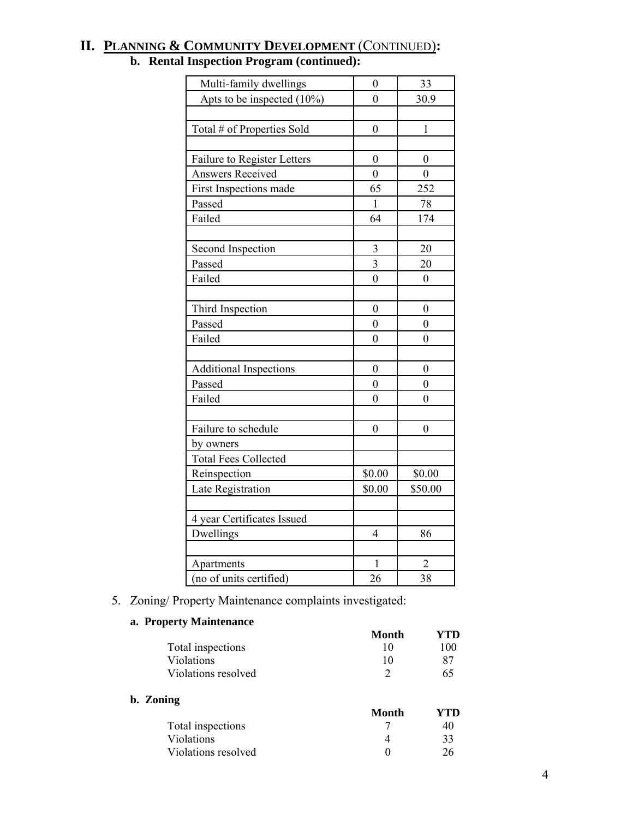| Multi-family dwellings        | $\boldsymbol{0}$          | 33               |
|-------------------------------|---------------------------|------------------|
| Apts to be inspected $(10\%)$ | $\overline{0}$            | 30.9             |
|                               |                           |                  |
| Total # of Properties Sold    | $\boldsymbol{0}$          | $\mathbf{1}$     |
|                               |                           |                  |
| Failure to Register Letters   | $\boldsymbol{0}$          | $\boldsymbol{0}$ |
| <b>Answers Received</b>       | $\overline{0}$            | $\overline{0}$   |
| First Inspections made        | 65                        | 252              |
| Passed                        | $\mathbf{1}$              | 78               |
| Failed                        | 64                        | 174              |
|                               |                           |                  |
| Second Inspection             | $\mathfrak{Z}$            | 20               |
| Passed                        | $\overline{\overline{3}}$ | 20               |
| Failed                        | $\overline{0}$            | $\overline{0}$   |
|                               |                           |                  |
| Third Inspection              | $\boldsymbol{0}$          | $\boldsymbol{0}$ |
| Passed                        | $\overline{0}$            | $\boldsymbol{0}$ |
| Failed                        | $\overline{0}$            | 0                |
|                               |                           |                  |
| <b>Additional Inspections</b> | $\boldsymbol{0}$          | $\boldsymbol{0}$ |
| Passed                        | $\overline{0}$            | $\boldsymbol{0}$ |
| Failed                        | $\boldsymbol{0}$          | $\boldsymbol{0}$ |
|                               |                           |                  |
| Failure to schedule           | $\overline{0}$            | $\mathbf{0}$     |
| by owners                     |                           |                  |
| <b>Total Fees Collected</b>   |                           |                  |
| Reinspection                  | \$0.00                    | \$0.00           |
| Late Registration             | \$0.00                    | \$50.00          |
|                               |                           |                  |
| 4 year Certificates Issued    |                           |                  |
| Dwellings                     | $\overline{4}$            | 86               |
|                               |                           |                  |
| Apartments                    | 1                         | $\overline{2}$   |
| (no of units certified)       | 26                        | 38               |

# **II. PLANNING & COMMUNITY DEVELOPMENT** (CONTINUED)**: b. Rental Inspection Program (continued):**

5. Zoning/ Property Maintenance complaints investigated:

### **a. Property Maintenance**

|                     | Month | YTD |
|---------------------|-------|-----|
| Total inspections   | 10    | 100 |
| Violations          | 10    | 87  |
| Violations resolved | 2     | 65  |
| b. Zoning           |       |     |
|                     | Month | YTD |
| Total inspections   |       | 40  |
| Violations          | 4     | 33  |
| Violations resolved | 0     | 26  |
|                     |       |     |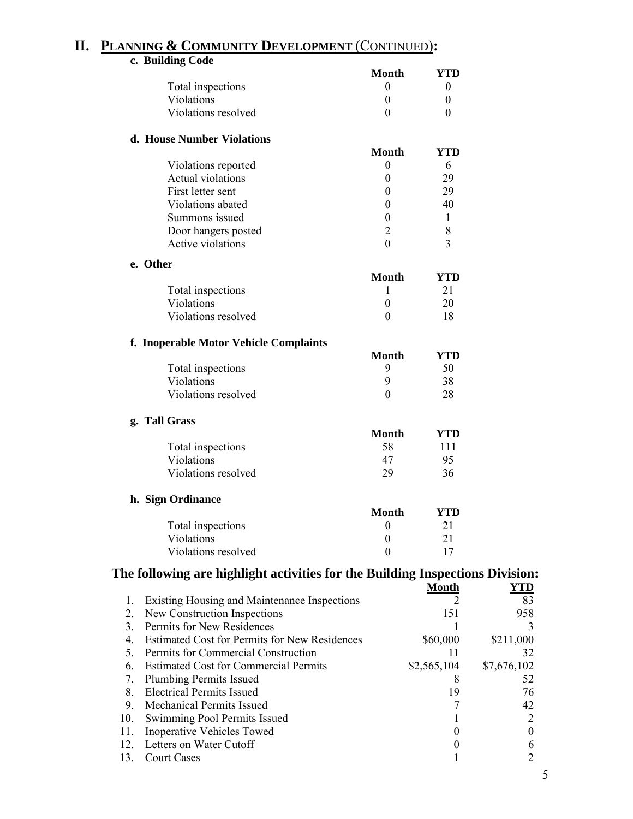### **II. PLANNING & COMMUNITY DEVELOPMENT** (CONTINUED)**:**

|     | c. Building Code                                                              |                  |                  |                  |
|-----|-------------------------------------------------------------------------------|------------------|------------------|------------------|
|     |                                                                               | <b>Month</b>     | YTD              |                  |
|     | Total inspections                                                             | $\theta$         | $\boldsymbol{0}$ |                  |
|     | Violations                                                                    | $\mathbf{0}$     | $\boldsymbol{0}$ |                  |
|     | Violations resolved                                                           | $\theta$         | $\theta$         |                  |
|     | d. House Number Violations                                                    |                  |                  |                  |
|     |                                                                               | <b>Month</b>     | <b>YTD</b>       |                  |
|     | Violations reported                                                           | $\boldsymbol{0}$ | 6                |                  |
|     | <b>Actual violations</b>                                                      | $\boldsymbol{0}$ | 29               |                  |
|     | First letter sent                                                             | $\boldsymbol{0}$ | 29               |                  |
|     | Violations abated                                                             | $\boldsymbol{0}$ | 40               |                  |
|     | Summons issued                                                                | $\mathbf{0}$     | 1                |                  |
|     | Door hangers posted                                                           | $\overline{2}$   | 8                |                  |
|     | Active violations                                                             | $\theta$         | 3                |                  |
|     | e. Other                                                                      |                  |                  |                  |
|     |                                                                               | <b>Month</b>     | <b>YTD</b>       |                  |
|     | Total inspections                                                             | 1                | 21               |                  |
|     | Violations                                                                    | $\mathbf{0}$     | 20               |                  |
|     | Violations resolved                                                           | $\theta$         | 18               |                  |
|     | f. Inoperable Motor Vehicle Complaints                                        |                  |                  |                  |
|     |                                                                               | <b>Month</b>     | <b>YTD</b>       |                  |
|     | Total inspections                                                             | 9                | 50               |                  |
|     | Violations                                                                    | 9                | 38               |                  |
|     | Violations resolved                                                           | $\theta$         | 28               |                  |
|     | g. Tall Grass                                                                 |                  |                  |                  |
|     |                                                                               | <b>Month</b>     | <b>YTD</b>       |                  |
|     | Total inspections                                                             | 58               | 111              |                  |
|     | Violations                                                                    | 47               | 95               |                  |
|     | Violations resolved                                                           | 29               | 36               |                  |
|     |                                                                               |                  |                  |                  |
|     | h. Sign Ordinance                                                             |                  |                  |                  |
|     |                                                                               | <b>Month</b>     | <b>YTD</b>       |                  |
|     | Total inspections                                                             | $\boldsymbol{0}$ | 21               |                  |
|     | Violations                                                                    | $\boldsymbol{0}$ | 21               |                  |
|     | Violations resolved                                                           | $\boldsymbol{0}$ | 17               |                  |
|     | The following are highlight activities for the Building Inspections Division: |                  |                  |                  |
| 1.  | <b>Existing Housing and Maintenance Inspections</b>                           |                  | <b>Month</b>     | YTD<br>83        |
| 2.  | New Construction Inspections                                                  |                  | 151              | 958              |
| 3.  | Permits for New Residences                                                    |                  | 1                | 3                |
| 4.  | Estimated Cost for Permits for New Residences                                 |                  | \$60,000         | \$211,000        |
| 5.  | Permits for Commercial Construction                                           |                  | 11               | 32               |
| 6.  | <b>Estimated Cost for Commercial Permits</b>                                  |                  | \$2,565,104      | \$7,676,102      |
| 7.  | <b>Plumbing Permits Issued</b>                                                |                  | 8                | 52               |
| 8.  | <b>Electrical Permits Issued</b>                                              |                  | 19               | 76               |
| 9.  | Mechanical Permits Issued                                                     |                  | 7                | 42               |
| 10. | Swimming Pool Permits Issued                                                  |                  | 1                | 2                |
| 11. | Inoperative Vehicles Towed                                                    |                  | $\boldsymbol{0}$ | $\boldsymbol{0}$ |
| 12. | Letters on Water Cutoff                                                       |                  | $\boldsymbol{0}$ | 6                |
| 13. | <b>Court Cases</b>                                                            |                  |                  | $\overline{c}$   |
|     |                                                                               |                  |                  |                  |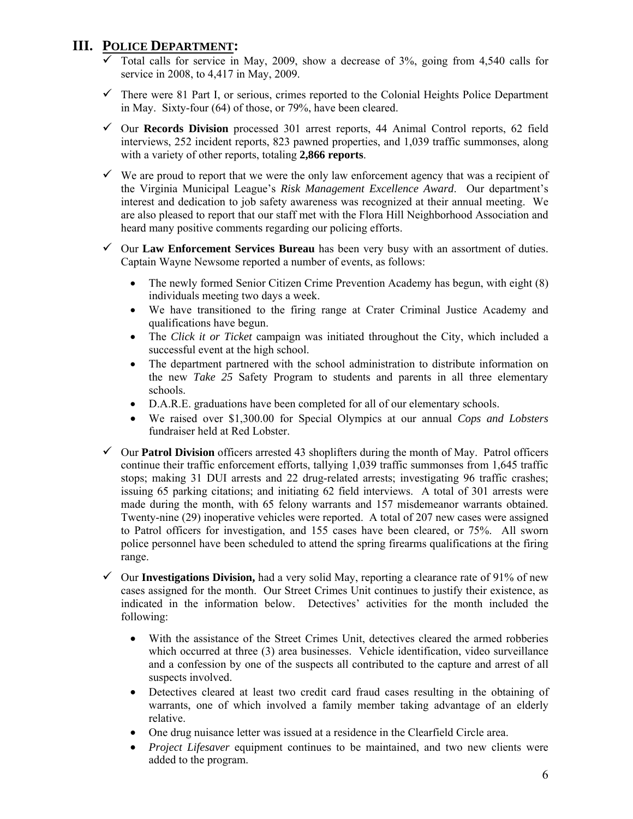# **III. POLICE DEPARTMENT:**

- $\overline{\smash[b]{\mathsf{Total}}\xspace}$  Collars for service in May, 2009, show a decrease of 3%, going from 4,540 calls for service in 2008, to 4,417 in May, 2009.
- $\checkmark$  There were 81 Part I, or serious, crimes reported to the Colonial Heights Police Department in May. Sixty-four (64) of those, or 79%, have been cleared.
- 9 Our **Records Division** processed 301 arrest reports, 44 Animal Control reports, 62 field interviews, 252 incident reports, 823 pawned properties, and 1,039 traffic summonses, along with a variety of other reports, totaling **2,866 reports**.
- $\checkmark$  We are proud to report that we were the only law enforcement agency that was a recipient of the Virginia Municipal League's *Risk Management Excellence Award*. Our department's interest and dedication to job safety awareness was recognized at their annual meeting. We are also pleased to report that our staff met with the Flora Hill Neighborhood Association and heard many positive comments regarding our policing efforts.
- $\checkmark$  Our **Law Enforcement Services Bureau** has been very busy with an assortment of duties. Captain Wayne Newsome reported a number of events, as follows:
	- The newly formed Senior Citizen Crime Prevention Academy has begun, with eight (8) individuals meeting two days a week.
	- We have transitioned to the firing range at Crater Criminal Justice Academy and qualifications have begun.
	- The *Click it or Ticket* campaign was initiated throughout the City, which included a successful event at the high school.
	- The department partnered with the school administration to distribute information on the new *Take 25* Safety Program to students and parents in all three elementary schools.
	- D.A.R.E. graduations have been completed for all of our elementary schools.
	- We raised over \$1,300.00 for Special Olympics at our annual *Cops and Lobsters* fundraiser held at Red Lobster.
- $\checkmark$  Our **Patrol Division** officers arrested 43 shoplifters during the month of May. Patrol officers continue their traffic enforcement efforts, tallying 1,039 traffic summonses from 1,645 traffic stops; making 31 DUI arrests and 22 drug-related arrests; investigating 96 traffic crashes; issuing 65 parking citations; and initiating 62 field interviews. A total of 301 arrests were made during the month, with 65 felony warrants and 157 misdemeanor warrants obtained. Twenty-nine (29) inoperative vehicles were reported. A total of 207 new cases were assigned to Patrol officers for investigation, and 155 cases have been cleared, or 75%. All sworn police personnel have been scheduled to attend the spring firearms qualifications at the firing range.
- $\checkmark$  Our **Investigations Division,** had a very solid May, reporting a clearance rate of 91% of new cases assigned for the month. Our Street Crimes Unit continues to justify their existence, as indicated in the information below. Detectives' activities for the month included the following:
	- With the assistance of the Street Crimes Unit, detectives cleared the armed robberies which occurred at three (3) area businesses. Vehicle identification, video surveillance and a confession by one of the suspects all contributed to the capture and arrest of all suspects involved.
	- Detectives cleared at least two credit card fraud cases resulting in the obtaining of warrants, one of which involved a family member taking advantage of an elderly relative.
	- One drug nuisance letter was issued at a residence in the Clearfield Circle area.
	- *Project Lifesaver* equipment continues to be maintained, and two new clients were added to the program.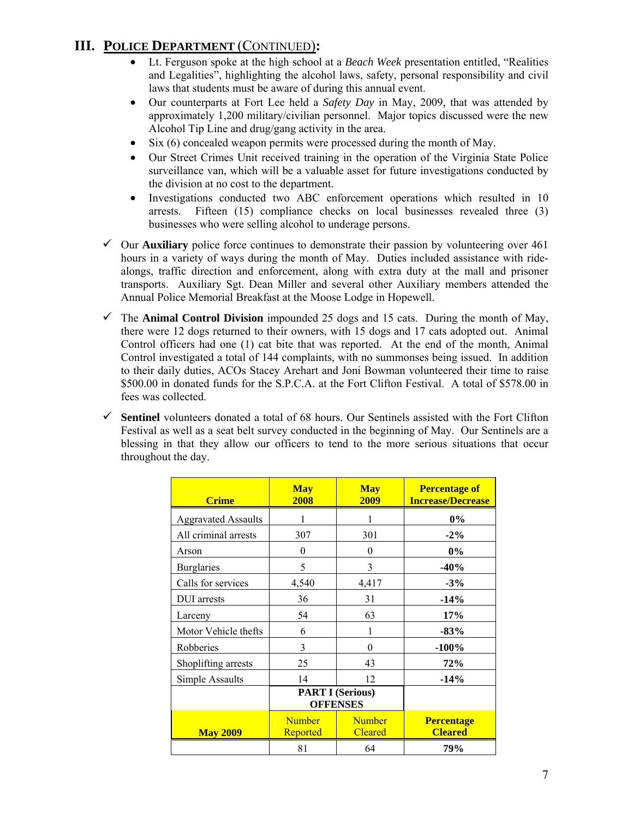# **III. POLICE DEPARTMENT** (CONTINUED)**:**

- Lt. Ferguson spoke at the high school at a *Beach Week* presentation entitled, "Realities and Legalities", highlighting the alcohol laws, safety, personal responsibility and civil laws that students must be aware of during this annual event.
- Our counterparts at Fort Lee held a *Safety Day* in May, 2009, that was attended by approximately 1,200 military/civilian personnel. Major topics discussed were the new Alcohol Tip Line and drug/gang activity in the area.
- Six (6) concealed weapon permits were processed during the month of May.
- Our Street Crimes Unit received training in the operation of the Virginia State Police surveillance van, which will be a valuable asset for future investigations conducted by the division at no cost to the department.
- Investigations conducted two ABC enforcement operations which resulted in 10 arrests. Fifteen (15) compliance checks on local businesses revealed three (3) businesses who were selling alcohol to underage persons.
- $\checkmark$  Our **Auxiliary** police force continues to demonstrate their passion by volunteering over 461 hours in a variety of ways during the month of May. Duties included assistance with ridealongs, traffic direction and enforcement, along with extra duty at the mall and prisoner transports. Auxiliary Sgt. Dean Miller and several other Auxiliary members attended the Annual Police Memorial Breakfast at the Moose Lodge in Hopewell.
- $\checkmark$  The **Animal Control Division** impounded 25 dogs and 15 cats. During the month of May, there were 12 dogs returned to their owners, with 15 dogs and 17 cats adopted out. Animal Control officers had one (1) cat bite that was reported. At the end of the month, Animal Control investigated a total of 144 complaints, with no summonses being issued. In addition to their daily duties, ACOs Stacey Arehart and Joni Bowman volunteered their time to raise \$500.00 in donated funds for the S.P.C.A. at the Fort Clifton Festival. A total of \$578.00 in fees was collected.
- $\checkmark$  **Sentinel** volunteers donated a total of 68 hours. Our Sentinels assisted with the Fort Clifton Festival as well as a seat belt survey conducted in the beginning of May. Our Sentinels are a blessing in that they allow our officers to tend to the more serious situations that occur throughout the day.

| <b>Crime</b>               | <b>May</b><br>2008                         | <b>May</b><br>2009              | <b>Percentage of</b><br><b>Increase/Decrease</b> |
|----------------------------|--------------------------------------------|---------------------------------|--------------------------------------------------|
| <b>Aggravated Assaults</b> |                                            |                                 | $0\%$                                            |
| All criminal arrests       | 307                                        | 301                             | $-2\%$                                           |
| Arson                      | $\theta$                                   | $\theta$                        | 0%                                               |
| <b>Burglaries</b>          | 5                                          | 3                               | $-40%$                                           |
| Calls for services         | 4,540                                      | 4,417                           | $-3%$                                            |
| DUI arrests                | 36                                         | 31                              | $-14%$                                           |
| Larceny                    | 54                                         | 63                              | 17%                                              |
| Motor Vehicle thefts       | 6                                          |                                 | $-83%$                                           |
| Robberies                  | 3                                          | $\theta$                        | $-100%$                                          |
| Shoplifting arrests        | 25                                         | 43                              | 72%                                              |
| Simple Assaults            | 14                                         | 12                              | $-14%$                                           |
|                            | <b>PART I (Serious)</b><br><b>OFFENSES</b> |                                 |                                                  |
| <b>May 2009</b>            | <b>Number</b><br>Reported                  | <b>Number</b><br><b>Cleared</b> | <b>Percentage</b><br><b>Cleared</b>              |
|                            | 81                                         | 64                              | 79%                                              |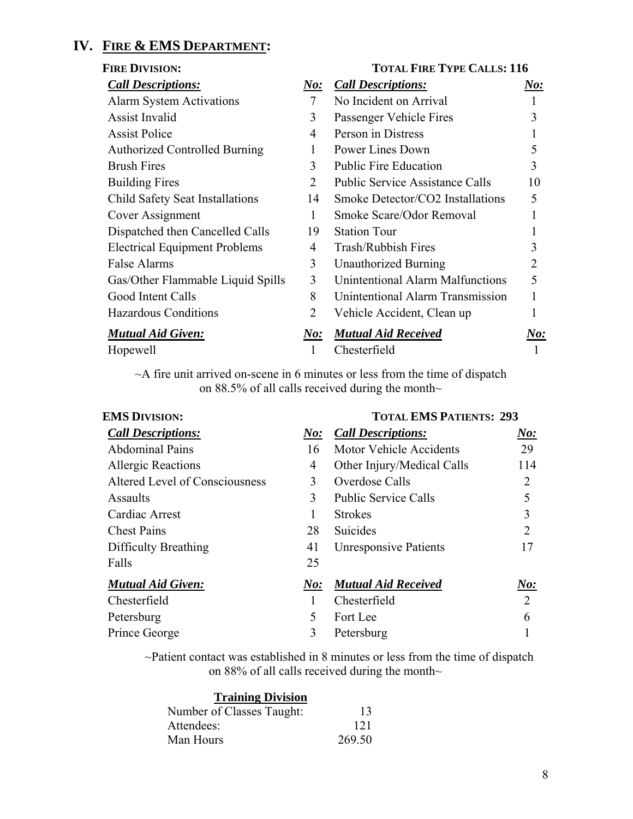# **IV. FIRE & EMS DEPARTMENT:**

|                        | <b>TOTAL FIRE TYPE CALLS: 116</b>       |            |
|------------------------|-----------------------------------------|------------|
| <u>No:</u>             | <b>Call Descriptions:</b>               | <u>No:</u> |
| 7                      | No Incident on Arrival                  | 1          |
| 3                      | Passenger Vehicle Fires                 | 3          |
| 4                      | Person in Distress                      |            |
| 1                      | Power Lines Down                        | 5          |
| 3                      | <b>Public Fire Education</b>            | 3          |
| 2                      | <b>Public Service Assistance Calls</b>  | 10         |
| 14                     | Smoke Detector/CO2 Installations        | 5          |
| $\mathbf{1}$           | Smoke Scare/Odor Removal                |            |
| 19                     | <b>Station Tour</b>                     |            |
| $\overline{4}$         | <b>Trash/Rubbish Fires</b>              | 3          |
| 3                      | <b>Unauthorized Burning</b>             | 2          |
| 3                      | <b>Unintentional Alarm Malfunctions</b> | 5          |
| 8                      | Unintentional Alarm Transmission        | 1          |
| $\overline{2}$         | Vehicle Accident, Clean up              |            |
| $\boldsymbol{\it No:}$ | <b>Mutual Aid Received</b>              | No:        |
| 1                      | Chesterfield                            |            |
|                        |                                         |            |

~A fire unit arrived on-scene in 6 minutes or less from the time of dispatch on 88.5% of all calls received during the month~

| <b>EMS DIVISION:</b>           |                        | <b>TOTAL EMS PATIENTS: 293</b> |           |  |
|--------------------------------|------------------------|--------------------------------|-----------|--|
| <b>Call Descriptions:</b>      | $\boldsymbol{\it No:}$ | <b>Call Descriptions:</b>      | $N_{0}$ : |  |
| <b>Abdominal Pains</b>         | 16                     | <b>Motor Vehicle Accidents</b> | 29        |  |
| <b>Allergic Reactions</b>      | 4                      | Other Injury/Medical Calls     | 114       |  |
| Altered Level of Consciousness | 3                      | Overdose Calls                 | 2         |  |
| Assaults                       | $\mathcal{E}$          | <b>Public Service Calls</b>    | 5         |  |
| Cardiac Arrest                 |                        | <b>Strokes</b>                 | 3         |  |
| <b>Chest Pains</b>             | 28                     | Suicides                       | 2         |  |
| Difficulty Breathing           | 41                     | <b>Unresponsive Patients</b>   | 17        |  |
| Falls                          | 25                     |                                |           |  |
| <b>Mutual Aid Given:</b>       | N o:                   | <b>Mutual Aid Received</b>     | N o:      |  |
| Chesterfield                   |                        | Chesterfield                   | 2         |  |
| Petersburg                     | 5                      | Fort Lee                       | 6         |  |
| Prince George                  | 3                      | Petersburg                     |           |  |

~Patient contact was established in 8 minutes or less from the time of dispatch on 88% of all calls received during the month~

| <b>Training Division</b>  |        |
|---------------------------|--------|
| Number of Classes Taught: | 13     |
| Attendees:                | 121    |
| Man Hours                 | 269.50 |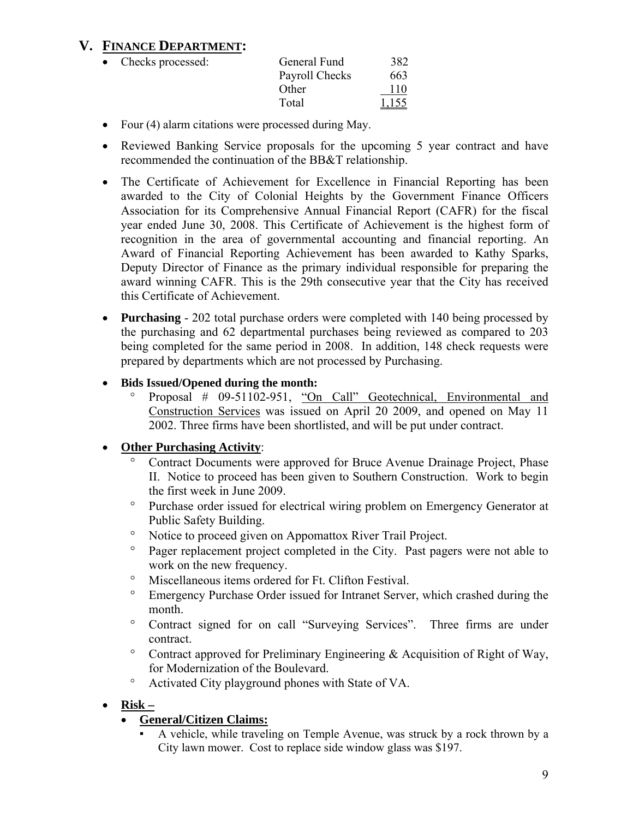# **V. FINANCE DEPARTMENT:**

| • Checks processed: | General Fund   | 382   |
|---------------------|----------------|-------|
|                     | Payroll Checks | 663   |
|                     | Other          | 110   |
|                     | Total          | 1,155 |

- Four (4) alarm citations were processed during May.
- Reviewed Banking Service proposals for the upcoming 5 year contract and have recommended the continuation of the BB&T relationship.
- The Certificate of Achievement for Excellence in Financial Reporting has been awarded to the City of Colonial Heights by the Government Finance Officers Association for its Comprehensive Annual Financial Report (CAFR) for the fiscal year ended June 30, 2008. This Certificate of Achievement is the highest form of recognition in the area of governmental accounting and financial reporting. An Award of Financial Reporting Achievement has been awarded to Kathy Sparks, Deputy Director of Finance as the primary individual responsible for preparing the award winning CAFR. This is the 29th consecutive year that the City has received this Certificate of Achievement.
- **Purchasing**  202 total purchase orders were completed with 140 being processed by the purchasing and 62 departmental purchases being reviewed as compared to 203 being completed for the same period in 2008. In addition, 148 check requests were prepared by departments which are not processed by Purchasing.
- **Bids Issued/Opened during the month:** 
	- ° Proposal # 09-51102-951, "On Call" Geotechnical, Environmental and Construction Services was issued on April 20 2009, and opened on May 11 2002. Three firms have been shortlisted, and will be put under contract.

### • **Other Purchasing Activity**:

- Contract Documents were approved for Bruce Avenue Drainage Project, Phase II. Notice to proceed has been given to Southern Construction. Work to begin the first week in June 2009.
- ° Purchase order issued for electrical wiring problem on Emergency Generator at Public Safety Building.
- ° Notice to proceed given on Appomattox River Trail Project.
- ° Pager replacement project completed in the City. Past pagers were not able to work on the new frequency.
- ° Miscellaneous items ordered for Ft. Clifton Festival.
- ° Emergency Purchase Order issued for Intranet Server, which crashed during the month.
- ° Contract signed for on call "Surveying Services". Three firms are under contract.
- ° Contract approved for Preliminary Engineering & Acquisition of Right of Way, for Modernization of the Boulevard.
- ° Activated City playground phones with State of VA.
- **Risk –**

### • **General/Citizen Claims:**

A vehicle, while traveling on Temple Avenue, was struck by a rock thrown by a City lawn mower. Cost to replace side window glass was \$197.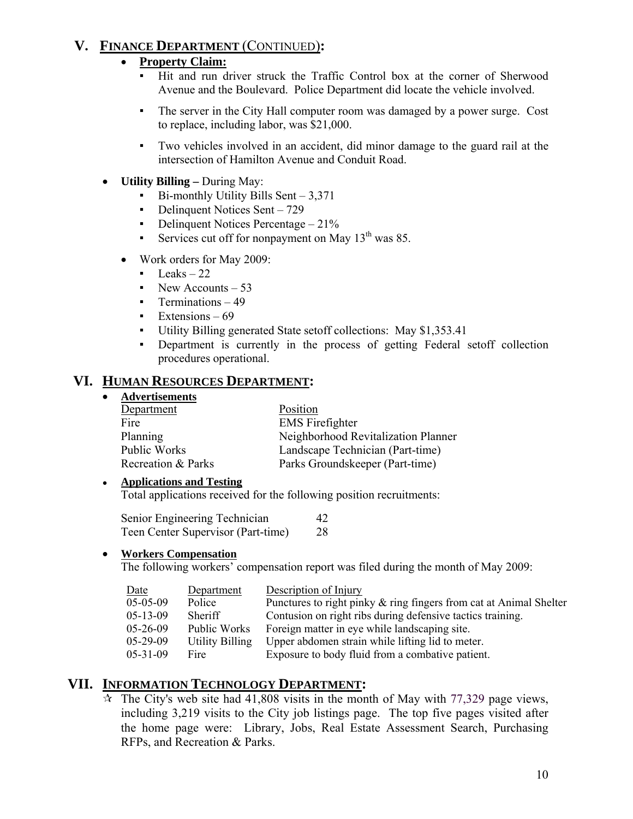# **V. FINANCE DEPARTMENT** (CONTINUED)**:**

### • **Property Claim:**

- Hit and run driver struck the Traffic Control box at the corner of Sherwood Avenue and the Boulevard. Police Department did locate the vehicle involved.
- The server in the City Hall computer room was damaged by a power surge. Cost to replace, including labor, was \$21,000.
- Two vehicles involved in an accident, did minor damage to the guard rail at the intersection of Hamilton Avenue and Conduit Road.
- **Utility Billing** During May:
	- $Bi$ -monthly Utility Bills Sent 3,371
	- Delinquent Notices Sent 729
	- **•** Delinquent Notices Percentage  $-21\%$
	- Services cut off for nonpayment on May  $13<sup>th</sup>$  was 85.
	- Work orders for May 2009:
		- $\text{Leaks} 22$
		- New Accounts  $-53$
		- **•** Terminations 49
		- Extensions  $-69$
		- Utility Billing generated State setoff collections: May \$1,353.41
		- Department is currently in the process of getting Federal setoff collection procedures operational.

### **VI. HUMAN RESOURCES DEPARTMENT:**

• **Advertisements**

| Department         | Position                            |
|--------------------|-------------------------------------|
| Fire               | <b>EMS</b> Firefighter              |
| Planning           | Neighborhood Revitalization Planner |
| Public Works       | Landscape Technician (Part-time)    |
| Recreation & Parks | Parks Groundskeeper (Part-time)     |

#### ● **Applications and Testing**

Total applications received for the following position recruitments:

| Senior Engineering Technician      | 42 |
|------------------------------------|----|
| Teen Center Supervisor (Part-time) | 28 |

#### • **Workers Compensation**

The following workers' compensation report was filed during the month of May 2009:

| Date             | Department             | Description of Injury                                              |
|------------------|------------------------|--------------------------------------------------------------------|
| $05-05-09$       | Police                 | Punctures to right pinky & ring fingers from cat at Animal Shelter |
| $05-13-09$       | Sheriff                | Contusion on right ribs during defensive tactics training.         |
| $05-26-09$       | Public Works           | Foreign matter in eye while landscaping site.                      |
| $05-29-09$       | <b>Utility Billing</b> | Upper abdomen strain while lifting lid to meter.                   |
| $0.5 - 31 - 0.9$ | Fire                   | Exposure to body fluid from a combative patient.                   |

# **VII. INFORMATION TECHNOLOGY DEPARTMENT:**

 $\star$  The City's web site had 41,808 visits in the month of May with 77,329 page views, including 3,219 visits to the City job listings page. The top five pages visited after the home page were: Library, Jobs, Real Estate Assessment Search, Purchasing RFPs, and Recreation & Parks.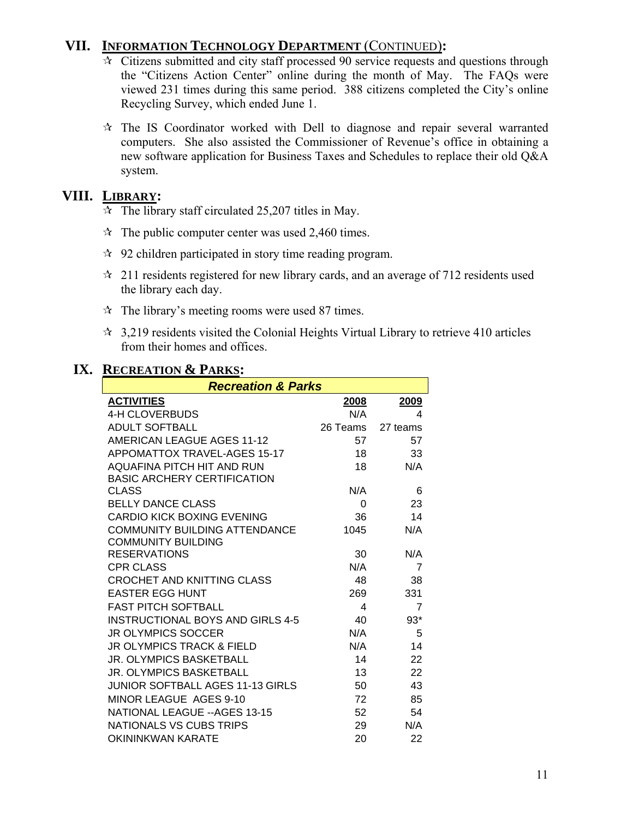# **VII. INFORMATION TECHNOLOGY DEPARTMENT** (CONTINUED)**:**

- $\overline{\star}$  Citizens submitted and city staff processed 90 service requests and questions through the "Citizens Action Center" online during the month of May. The FAQs were viewed 231 times during this same period. 388 citizens completed the City's online Recycling Survey, which ended June 1.
- $\hat{x}$  The IS Coordinator worked with Dell to diagnose and repair several warranted computers. She also assisted the Commissioner of Revenue's office in obtaining a new software application for Business Taxes and Schedules to replace their old Q&A system.

# **VIII. LIBRARY:**

- $\overline{\mathcal{A}}$  The library staff circulated 25,207 titles in May.
- $\approx$  The public computer center was used 2,460 times.
- $\approx$  92 children participated in story time reading program.
- $\approx$  211 residents registered for new library cards, and an average of 712 residents used the library each day.
- $\hat{x}$  The library's meeting rooms were used 87 times.
- $\approx$  3,219 residents visited the Colonial Heights Virtual Library to retrieve 410 articles from their homes and offices.

# **IX. RECREATION & PARKS:**

| <b>Recreation &amp; Parks</b>           |          |                |  |  |
|-----------------------------------------|----------|----------------|--|--|
| <b>ACTIVITIES</b>                       | 2008     | 2009           |  |  |
| <b>4-H CLOVERBUDS</b>                   | N/A      | 4              |  |  |
| <b>ADULT SOFTBALL</b>                   | 26 Teams | 27 teams       |  |  |
| <b>AMERICAN LEAGUE AGES 11-12</b>       | 57       | 57             |  |  |
| <b>APPOMATTOX TRAVEL-AGES 15-17</b>     | 18       | 33             |  |  |
| AQUAFINA PITCH HIT AND RUN              | 18       | N/A            |  |  |
| <b>BASIC ARCHERY CERTIFICATION</b>      |          |                |  |  |
| <b>CLASS</b>                            | N/A      | 6              |  |  |
| <b>BELLY DANCE CLASS</b>                | 0        | 23             |  |  |
| <b>CARDIO KICK BOXING EVENING</b>       | 36       | 14             |  |  |
| COMMUNITY BUILDING ATTENDANCE           | 1045     | N/A            |  |  |
| <b>COMMUNITY BUILDING</b>               |          |                |  |  |
| <b>RESERVATIONS</b>                     | 30       | N/A            |  |  |
| <b>CPR CLASS</b>                        | N/A      | $\overline{7}$ |  |  |
| <b>CROCHET AND KNITTING CLASS</b>       | 48       | 38             |  |  |
| <b>EASTER EGG HUNT</b>                  | 269      | 331            |  |  |
| <b>FAST PITCH SOFTBALL</b>              | 4        | $\overline{7}$ |  |  |
| <b>INSTRUCTIONAL BOYS AND GIRLS 4-5</b> | 40       | $93*$          |  |  |
| <b>JR OLYMPICS SOCCER</b>               | N/A      | 5              |  |  |
| <b>JR OLYMPICS TRACK &amp; FIELD</b>    | N/A      | 14             |  |  |
| <b>JR. OLYMPICS BASKETBALL</b>          | 14       | 22             |  |  |
| <b>JR. OLYMPICS BASKETBALL</b>          | 13       | 22             |  |  |
| JUNIOR SOFTBALL AGES 11-13 GIRLS        | 50       | 43             |  |  |
| MINOR LEAGUE AGES 9-10                  | 72       | 85             |  |  |
| NATIONAL LEAGUE -- AGES 13-15           | 52       | 54             |  |  |
| <b>NATIONALS VS CUBS TRIPS</b>          | 29       | N/A            |  |  |
| <b>OKININKWAN KARATE</b>                | 20       | 22             |  |  |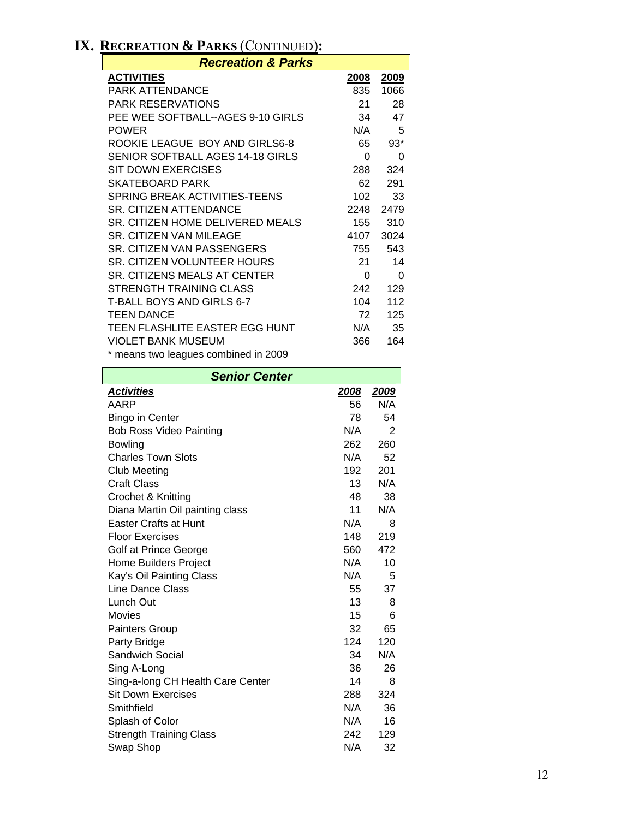# **IX. RECREATION & PARKS** (CONTINUED)**:**

 $\mathbf l$ 

| <b>Recreation &amp; Parks</b>        |             |          |  |  |
|--------------------------------------|-------------|----------|--|--|
| <b>ACTIVITIES</b>                    | <u>2008</u> | 2009     |  |  |
| PARK ATTENDANCE                      | 835         | 1066     |  |  |
| <b>PARK RESERVATIONS</b>             | 21          | 28       |  |  |
| PEE WEE SOFTBALL--AGES 9-10 GIRLS    | 34          | 47       |  |  |
| <b>POWER</b>                         | N/A         | 5        |  |  |
| ROOKIE LEAGUE BOY AND GIRLS6-8       | 65          | $93*$    |  |  |
| SENIOR SOFTBALL AGES 14-18 GIRLS     | 0           | 0        |  |  |
| SIT DOWN EXERCISES                   | 288         | 324      |  |  |
| <b>SKATEBOARD PARK</b>               | 62          | 291      |  |  |
| SPRING BREAK ACTIVITIES-TEENS        | 102         | 33       |  |  |
| SR. CITIZEN ATTENDANCE               | 2248        | 2479     |  |  |
| SR. CITIZEN HOME DELIVERED MEALS     | 155         | 310      |  |  |
| SR. CITIZEN VAN MILEAGE              | 4107        | 3024     |  |  |
| SR. CITIZEN VAN PASSENGERS           | 755         | 543      |  |  |
| SR. CITIZEN VOLUNTEER HOURS          | 21          | 14       |  |  |
| SR. CITIZENS MEALS AT CENTER         | 0           | $\Omega$ |  |  |
| STRENGTH TRAINING CLASS              | 242         | 129      |  |  |
| T-BALL BOYS AND GIRLS 6-7            | 104         | 112      |  |  |
| <b>TEEN DANCE</b>                    | 72          | 125      |  |  |
| TEEN FLASHLITE EASTER EGG HUNT       | N/A         | 35       |  |  |
| <b>VIOLET BANK MUSEUM</b>            | 366         | 164      |  |  |
| * means two leagues combined in 2009 |             |          |  |  |

| <b>Senior Center</b>              |      |                |  |  |
|-----------------------------------|------|----------------|--|--|
| <b>Activities</b>                 | 2008 | 2009           |  |  |
| AARP                              | 56   | N/A            |  |  |
| <b>Bingo in Center</b>            | 78   | 54             |  |  |
| <b>Bob Ross Video Painting</b>    | N/A  | $\overline{2}$ |  |  |
| <b>Bowling</b>                    | 262  | 260            |  |  |
| <b>Charles Town Slots</b>         | N/A  | 52             |  |  |
| Club Meeting                      | 192  | 201            |  |  |
| <b>Craft Class</b>                | 13   | N/A            |  |  |
| Crochet & Knitting                | 48   | 38             |  |  |
| Diana Martin Oil painting class   | 11   | N/A            |  |  |
| <b>Easter Crafts at Hunt</b>      | N/A  | 8              |  |  |
| <b>Floor Exercises</b>            | 148  | 219            |  |  |
| Golf at Prince George             | 560  | 472            |  |  |
| Home Builders Project             | N/A  | 10             |  |  |
| Kay's Oil Painting Class          | N/A  | 5              |  |  |
| Line Dance Class                  | 55   | 37             |  |  |
| Lunch Out                         | 13   | 8              |  |  |
| Movies                            | 15   | 6              |  |  |
| Painters Group                    | 32   | 65             |  |  |
| Party Bridge                      | 124  | 120            |  |  |
| <b>Sandwich Social</b>            | 34   | N/A            |  |  |
| Sing A-Long                       | 36   | 26             |  |  |
| Sing-a-long CH Health Care Center | 14   | 8              |  |  |
| <b>Sit Down Exercises</b>         | 288  | 324            |  |  |
| Smithfield                        | N/A  | 36             |  |  |
| Splash of Color                   | N/A  | 16             |  |  |
| <b>Strength Training Class</b>    | 242  | 129            |  |  |
| Swap Shop                         | N/A  | 32             |  |  |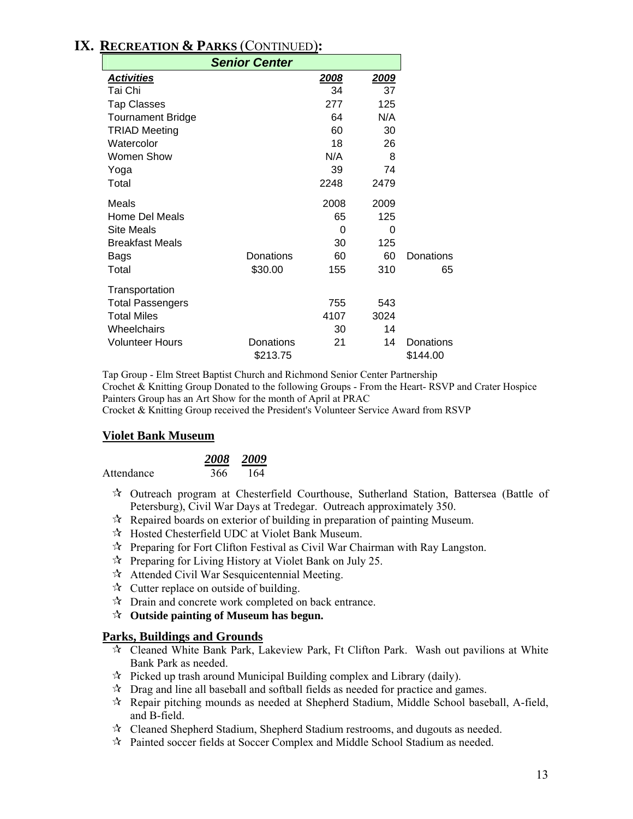# **IX. RECREATION & PARKS** (CONTINUED)**:**

| <b>Senior Center</b>     |                       |      |              |                       |
|--------------------------|-----------------------|------|--------------|-----------------------|
| <b>Activities</b>        |                       | 2008 | <u> 2009</u> |                       |
| Tai Chi                  |                       | 34   | 37           |                       |
| <b>Tap Classes</b>       |                       | 277  | 125          |                       |
| <b>Tournament Bridge</b> |                       | 64   | N/A          |                       |
| <b>TRIAD Meeting</b>     |                       | 60   | 30           |                       |
| Watercolor               |                       | 18   | 26           |                       |
| Women Show               |                       | N/A  | 8            |                       |
| Yoga                     |                       | 39   | 74           |                       |
| Total                    |                       | 2248 | 2479         |                       |
| Meals                    |                       | 2008 | 2009         |                       |
| Home Del Meals           |                       | 65   | 125          |                       |
| <b>Site Meals</b>        |                       | 0    | 0            |                       |
| <b>Breakfast Meals</b>   |                       | 30   | 125          |                       |
| <b>Bags</b>              | Donations             | 60   | 60           | Donations             |
| Total                    | \$30.00               | 155  | 310          | 65                    |
| Transportation           |                       |      |              |                       |
| <b>Total Passengers</b>  |                       | 755  | 543          |                       |
| <b>Total Miles</b>       |                       | 4107 | 3024         |                       |
| Wheelchairs              |                       | 30   | 14           |                       |
| <b>Volunteer Hours</b>   | Donations<br>\$213.75 | 21   | 14           | Donations<br>\$144.00 |
|                          |                       |      |              |                       |

Tap Group - Elm Street Baptist Church and Richmond Senior Center Partnership Crochet & Knitting Group Donated to the following Groups - From the Heart- RSVP and Crater Hospice Painters Group has an Art Show for the month of April at PRAC Crocket & Knitting Group received the President's Volunteer Service Award from RSVP

#### **Violet Bank Museum**

|            | 2008 | - 2009 |
|------------|------|--------|
| Attendance | 366  | 164    |

- Outreach program at Chesterfield Courthouse, Sutherland Station, Battersea (Battle of Petersburg), Civil War Days at Tredegar. Outreach approximately 350.
- $\mathcal{R}$  Repaired boards on exterior of building in preparation of painting Museum.
- Hosted Chesterfield UDC at Violet Bank Museum.
- $\mathcal{R}$  Preparing for Fort Clifton Festival as Civil War Chairman with Ray Langston.
- $\mathcal{R}$  Preparing for Living History at Violet Bank on July 25.
- Attended Civil War Sesquicentennial Meeting.
- $\mathcal{A}$  Cutter replace on outside of building.
- $\mathbb{R}$  Drain and concrete work completed on back entrance.
- **Outside painting of Museum has begun.**

#### **Parks, Buildings and Grounds**

- $\star$  Cleaned White Bank Park, Lakeview Park, Ft Clifton Park. Wash out pavilions at White Bank Park as needed.
- $\hat{x}$  Picked up trash around Municipal Building complex and Library (daily).
- $\star$  Drag and line all baseball and softball fields as needed for practice and games.
- $\mathcal{R}$  Repair pitching mounds as needed at Shepherd Stadium, Middle School baseball, A-field, and B-field.
- $\mathcal{R}$  Cleaned Shepherd Stadium, Shepherd Stadium restrooms, and dugouts as needed.
- $\mathcal{R}$  Painted soccer fields at Soccer Complex and Middle School Stadium as needed.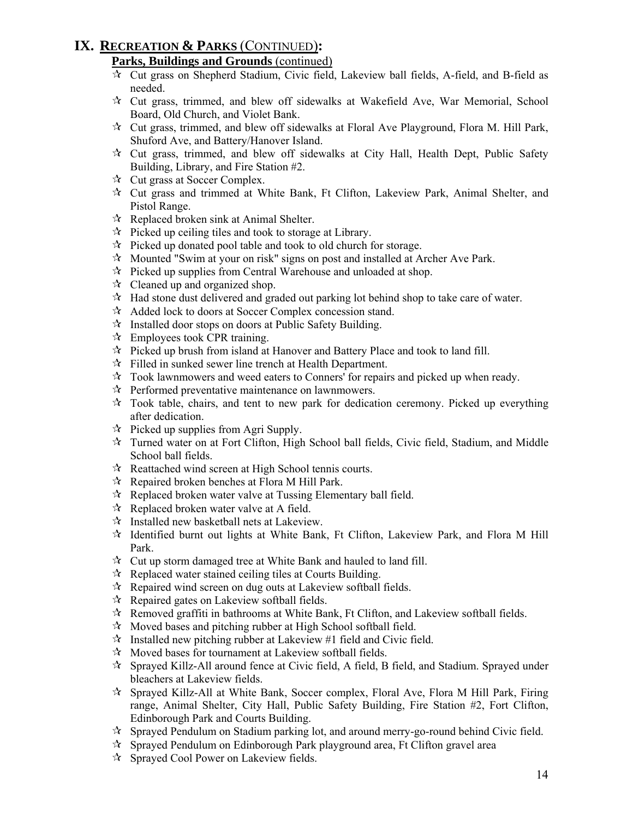# **IX. RECREATION & PARKS** (CONTINUED)**:**

### **Parks, Buildings and Grounds** (continued)

- $\overrightarrow{x}$  Cut grass on Shepherd Stadium, Civic field, Lakeview ball fields, A-field, and B-field as needed.
- $\star$  Cut grass, trimmed, and blew off sidewalks at Wakefield Ave, War Memorial, School Board, Old Church, and Violet Bank.
- $\mathcal{R}$  Cut grass, trimmed, and blew off sidewalks at Floral Ave Playground, Flora M. Hill Park, Shuford Ave, and Battery/Hanover Island.
- Cut grass, trimmed, and blew off sidewalks at City Hall, Health Dept, Public Safety Building, Library, and Fire Station #2.
- $\forall$  Cut grass at Soccer Complex.
- Cut grass and trimmed at White Bank, Ft Clifton, Lakeview Park, Animal Shelter, and Pistol Range.
- $\mathcal{R}$  Replaced broken sink at Animal Shelter.
- $\mathcal{R}$  Picked up ceiling tiles and took to storage at Library.
- $\mathcal{R}$  Picked up donated pool table and took to old church for storage.
- $\mathcal{R}$  Mounted "Swim at your on risk" signs on post and installed at Archer Ave Park.
- $\mathcal{R}$  Picked up supplies from Central Warehouse and unloaded at shop.
- $\mathcal{R}$  Cleaned up and organized shop.
- $\lambda$  Had stone dust delivered and graded out parking lot behind shop to take care of water.
- Added lock to doors at Soccer Complex concession stand.
- $\mathcal{R}$  Installed door stops on doors at Public Safety Building.
- $\mathcal{R}$  Employees took CPR training.
- $\hat{x}$  Picked up brush from island at Hanover and Battery Place and took to land fill.
- $\mathcal{F}$  Filled in sunked sewer line trench at Health Department.
- $\mathcal{R}$  Took lawnmowers and weed eaters to Conners' for repairs and picked up when ready.
- $\mathcal{R}$  Performed preventative maintenance on lawnmowers.
- $\mathcal{R}$  Took table, chairs, and tent to new park for dedication ceremony. Picked up everything after dedication.
- $\mathcal{R}$  Picked up supplies from Agri Supply.
- $\mathcal{R}$  Turned water on at Fort Clifton, High School ball fields, Civic field, Stadium, and Middle School ball fields.
- $\mathcal{R}$  Reattached wind screen at High School tennis courts.
- $\mathcal{R}$  Repaired broken benches at Flora M Hill Park.
- $\mathcal{R}$  Replaced broken water valve at Tussing Elementary ball field.
- $\mathcal{R}$  Replaced broken water valve at A field.
- $\hat{X}$  Installed new basketball nets at Lakeview.
- $\mathcal{R}$  Identified burnt out lights at White Bank, Ft Clifton, Lakeview Park, and Flora M Hill Park.
- $\mathcal{R}$  Cut up storm damaged tree at White Bank and hauled to land fill.
- $\mathcal{R}$  Replaced water stained ceiling tiles at Courts Building.
- $\mathcal{R}$  Repaired wind screen on dug outs at Lakeview softball fields.
- $\mathcal{R}$  Repaired gates on Lakeview softball fields.
- $\mathcal{R}$  Removed graffiti in bathrooms at White Bank, Ft Clifton, and Lakeview softball fields.
- $\mathcal{R}$  Moved bases and pitching rubber at High School softball field.
- $\mathcal{R}$  Installed new pitching rubber at Lakeview #1 field and Civic field.
- $\mathcal{R}$  Moved bases for tournament at Lakeview softball fields.
- Sprayed Killz-All around fence at Civic field, A field, B field, and Stadium. Sprayed under bleachers at Lakeview fields.
- $\mathcal{R}$  Sprayed Killz-All at White Bank, Soccer complex, Floral Ave, Flora M Hill Park, Firing range, Animal Shelter, City Hall, Public Safety Building, Fire Station #2, Fort Clifton, Edinborough Park and Courts Building.
- Sprayed Pendulum on Stadium parking lot, and around merry-go-round behind Civic field.
- Sprayed Pendulum on Edinborough Park playground area, Ft Clifton gravel area
- Sprayed Cool Power on Lakeview fields.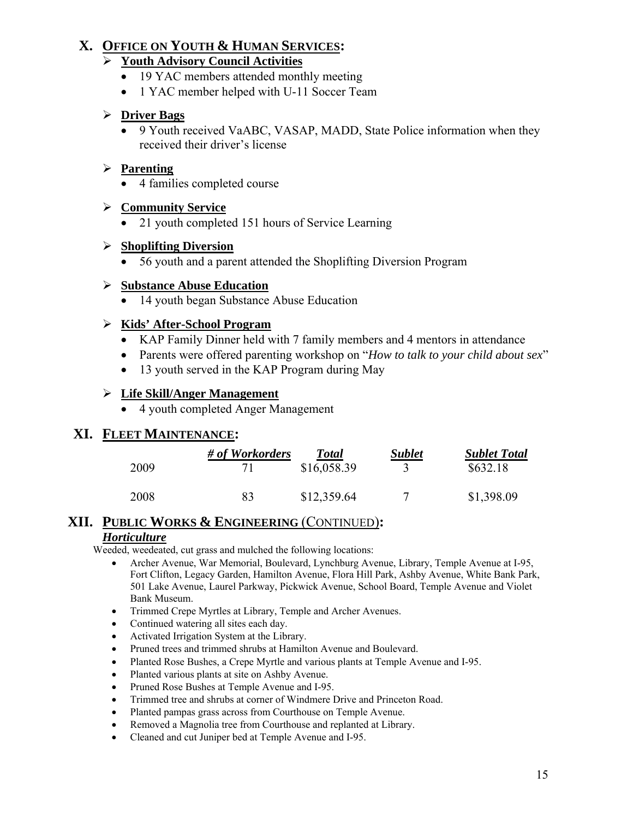# **X. OFFICE ON YOUTH & HUMAN SERVICES:**

# ¾ **Youth Advisory Council Activities**

- 19 YAC members attended monthly meeting
- 1 YAC member helped with U-11 Soccer Team

# ¾ **Driver Bags**

• 9 Youth received VaABC, VASAP, MADD, State Police information when they received their driver's license

# ¾ **Parenting**

• 4 families completed course

# ¾ **Community Service**

• 21 youth completed 151 hours of Service Learning

# ¾ **Shoplifting Diversion**

• 56 youth and a parent attended the Shoplifting Diversion Program

# ¾ **Substance Abuse Education**

• 14 youth began Substance Abuse Education

# ¾ **Kids' After-School Program**

- KAP Family Dinner held with 7 family members and 4 mentors in attendance
- Parents were offered parenting workshop on "*How to talk to your child about sex*"
- 13 youth served in the KAP Program during May

# ¾ **Life Skill/Anger Management**

• 4 youth completed Anger Management

# **XI. FLEET MAINTENANCE:**

|      | # of Workorders | <b>Total</b> | <b>Sublet</b> | <b>Sublet Total</b> |
|------|-----------------|--------------|---------------|---------------------|
| 2009 |                 | \$16,058.39  |               | \$632.18            |
| 2008 | 83              | \$12,359.64  |               | \$1,398.09          |

# **XII. PUBLIC WORKS & ENGINEERING** (CONTINUED)**:**

### *Horticulture*

Weeded, weedeated, cut grass and mulched the following locations:

- Archer Avenue, War Memorial, Boulevard, Lynchburg Avenue, Library, Temple Avenue at I-95, Fort Clifton, Legacy Garden, Hamilton Avenue, Flora Hill Park, Ashby Avenue, White Bank Park, 501 Lake Avenue, Laurel Parkway, Pickwick Avenue, School Board, Temple Avenue and Violet Bank Museum.
- Trimmed Crepe Myrtles at Library, Temple and Archer Avenues.
- Continued watering all sites each day.
- Activated Irrigation System at the Library.
- Pruned trees and trimmed shrubs at Hamilton Avenue and Boulevard.
- Planted Rose Bushes, a Crepe Myrtle and various plants at Temple Avenue and I-95.
- Planted various plants at site on Ashby Avenue.
- Pruned Rose Bushes at Temple Avenue and I-95.
- Trimmed tree and shrubs at corner of Windmere Drive and Princeton Road.
- Planted pampas grass across from Courthouse on Temple Avenue.
- Removed a Magnolia tree from Courthouse and replanted at Library.
- Cleaned and cut Juniper bed at Temple Avenue and I-95.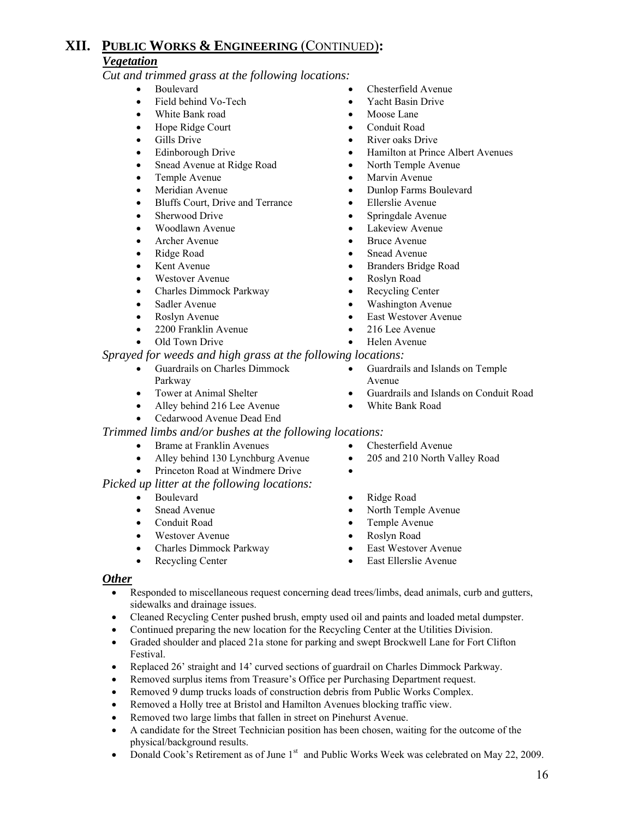# **XII. PUBLIC WORKS & ENGINEERING** (CONTINUED)**:** *Vegetation*

*Cut and trimmed grass at the following locations:* 

- Boulevard Chesterfield Avenue
	- Field behind Vo-Tech Yacht Basin Drive
	- White Bank road Moose Lane
	- Hope Ridge Court Conduit Road
	-
	-
	- Snead Avenue at Ridge Road North Temple Avenue
	-
	-
	- Bluffs Court, Drive and Terrance Ellerslie Avenue
	-
	-
	-
	-
- 
- 
- Charles Dimmock Parkway Recycling Center
- 
- 
- 2200 Franklin Avenue 216 Lee Avenue
- 

#### *Sprayed for weeds and high grass at the following locations:*

- Guardrails on Charles Dimmock Parkway
- 
- Alley behind 216 Lee Avenue White Bank Road
- Cedarwood Avenue Dead End

#### *Trimmed limbs and/or bushes at the following locations:*

- Brame at Franklin Avenues Chesterfield Avenue
- Alley behind 130 Lynchburg Avenue 205 and 210 North Valley Road
- Princeton Road at Windmere Drive •

#### *Picked up litter at the following locations:*

- 
- 
- 
- Westover Avenue Roslyn Road
- Charles Dimmock Parkway East Westover Avenue
- 
- 
- 
- 
- Gills Drive River oaks Drive
- Edinborough Drive Hamilton at Prince Albert Avenues
	-
- Temple Avenue Marvin Avenue
- Meridian Avenue Dunlop Farms Boulevard
	-
- Sherwood Drive Springdale Avenue
- Woodlawn Avenue Lakeview Avenue
- Archer Avenue Bruce Avenue
- Ridge Road Snead Avenue
- Kent Avenue Branders Bridge Road
- Westover Avenue Roslyn Road
	-
- Sadler Avenue Washington Avenue
- Roslyn Avenue East Westover Avenue
	-
- Old Town Drive Helen Avenue
	- - Guardrails and Islands on Temple Avenue
- Tower at Animal Shelter Guardrails and Islands on Conduit Road
	-
	- -
		-
- Boulevard Ridge Road
	- Snead Avenue North Temple Avenue
	- Conduit Road Temple Avenue
		-
		-
	- Recycling Center East Ellerslie Avenue

#### *Other*

- Responded to miscellaneous request concerning dead trees/limbs, dead animals, curb and gutters, sidewalks and drainage issues.
- Cleaned Recycling Center pushed brush, empty used oil and paints and loaded metal dumpster.
- Continued preparing the new location for the Recycling Center at the Utilities Division.
- Graded shoulder and placed 21a stone for parking and swept Brockwell Lane for Fort Clifton Festival.
- Replaced 26' straight and 14' curved sections of guardrail on Charles Dimmock Parkway.
- Removed surplus items from Treasure's Office per Purchasing Department request.
- Removed 9 dump trucks loads of construction debris from Public Works Complex.
- Removed a Holly tree at Bristol and Hamilton Avenues blocking traffic view.
- Removed two large limbs that fallen in street on Pinehurst Avenue.
- A candidate for the Street Technician position has been chosen, waiting for the outcome of the physical/background results.
- Donald Cook's Retirement as of June 1<sup>st</sup> and Public Works Week was celebrated on May 22, 2009.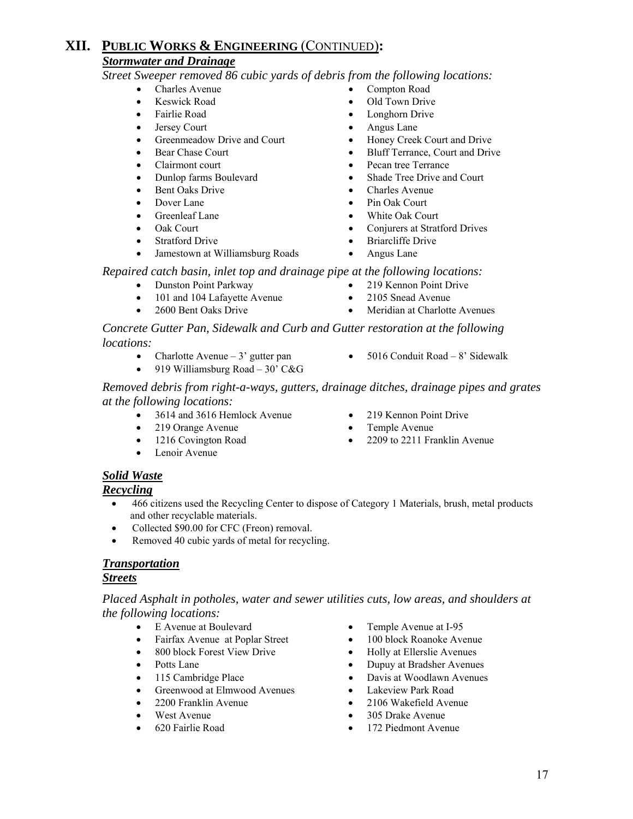#### *Stormwater and Drainage*

*Street Sweeper removed 86 cubic yards of debris from the following locations:* 

- Charles Avenue Compton Road
- 
- 
- 
- 
- 
- 
- 
- 
- 
- 
- 
- 
- Jamestown at Williamsburg Roads Angus Lane
- 
- Keswick Road Old Town Drive
	- Fairlie Road Longhorn Drive
- Jersey Court Angus Lane
	- Greenmeadow Drive and Court Honey Creek Court and Drive
	- **Bluff Terrance, Court and Drive**
- Clairmont court Pecan tree Terrance
	- Dunlop farms Boulevard Shade Tree Drive and Court
	- Bent Oaks Drive Charles Avenue
- Dover Lane Pin Oak Court
- Greenleaf Lane White Oak Court
	- Oak Court Conjurers at Stratford Drives
	- Stratford Drive Briarcliffe Drive
		-

*Repaired catch basin, inlet top and drainage pipe at the following locations:* 

- Dunston Point Parkway 219 Kennon Point Drive
	- 101 and 104 Lafayette Avenue 2105 Snead Avenue
- 2600 Bent Oaks Drive Meridian at Charlotte Avenues

*Concrete Gutter Pan, Sidewalk and Curb and Gutter restoration at the following locations:* 

- Charlotte Avenue 3' gutter pan 5016 Conduit Road 8' Sidewalk
- 919 Williamsburg Road 30' C&G
- 

*Removed debris from right-a-ways, gutters, drainage ditches, drainage pipes and grates at the following locations:* 

- 3614 and 3616 Hemlock Avenue 219 Kennon Point Drive
- 219 Orange Avenue Temple Avenue
- 
- Lenoir Avenue
- 
- 
- 1216 Covington Road 2209 to 2211 Franklin Avenue

# *Solid Waste*

*Recycling*

- 466 citizens used the Recycling Center to dispose of Category 1 Materials, brush, metal products and other recyclable materials.
- Collected \$90.00 for CFC (Freon) removal.
- Removed 40 cubic yards of metal for recycling.

#### *Transportation*

#### *Streets*

*Placed Asphalt in potholes, water and sewer utilities cuts, low areas, and shoulders at the following locations:* 

- E Avenue at Boulevard Temple Avenue at I-95
- Fairfax Avenue at Poplar Street 100 block Roanoke Avenue
- 800 block Forest View Drive Holly at Ellerslie Avenues
- 
- 
- Greenwood at Elmwood Avenues Lakeview Park Road
- 
- 
- 
- 
- 
- 
- Potts Lane Dupuy at Bradsher Avenues
- 115 Cambridge Place Davis at Woodlawn Avenues
	-
- 2200 Franklin Avenue 2106 Wakefield Avenue
- West Avenue 305 Drake Avenue
- 620 Fairlie Road 172 Piedmont Avenue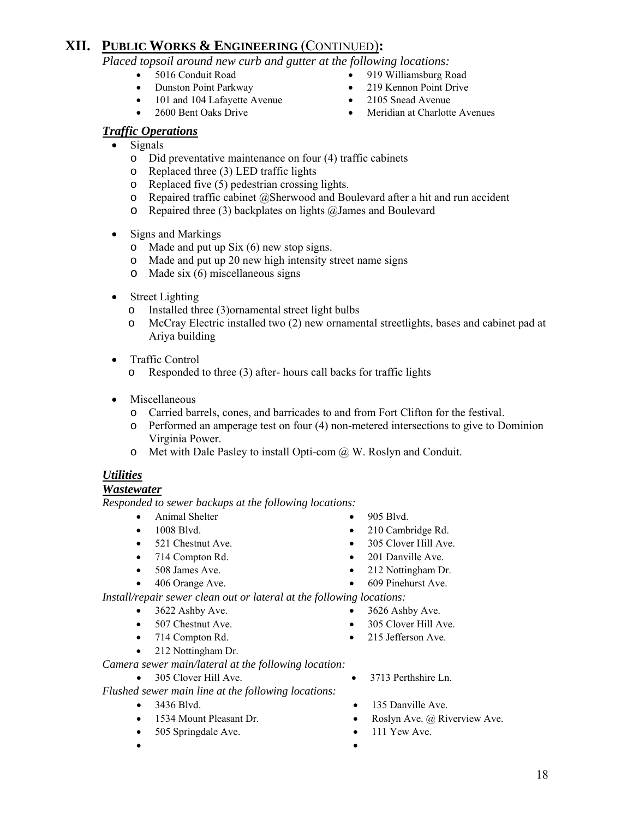*Placed topsoil around new curb and gutter at the following locations:* 

- 
- Dunston Point Parkway 219 Kennon Point Drive
- 101 and 104 Lafayette Avenue 2105 Snead Avenue
- 
- 5016 Conduit Road 919 Williamsburg Road
	-
	-
	- 2600 Bent Oaks Drive Meridian at Charlotte Avenues

### *Traffic Operations*

- Signals
	- o Did preventative maintenance on four (4) traffic cabinets
	- o Replaced three (3) LED traffic lights
	- o Replaced five (5) pedestrian crossing lights.
	- o Repaired traffic cabinet @Sherwood and Boulevard after a hit and run accident
	- o Repaired three (3) backplates on lights @James and Boulevard
- Signs and Markings
	- o Made and put up Six (6) new stop signs.
	- o Made and put up 20 new high intensity street name signs
	- o Made six (6) miscellaneous signs
- Street Lighting
	- o Installed three (3)ornamental street light bulbs
	- o McCray Electric installed two (2) new ornamental streetlights, bases and cabinet pad at Ariya building
- Traffic Control
	- o Responded to three (3) after- hours call backs for traffic lights
- Miscellaneous
	- o Carried barrels, cones, and barricades to and from Fort Clifton for the festival.
	- o Performed an amperage test on four (4) non-metered intersections to give to Dominion Virginia Power.
	- o Met with Dale Pasley to install Opti-com @ W. Roslyn and Conduit.

### *Utilities*

#### *Wastewater*

*Responded to sewer backups at the following locations:*

- Animal Shelter 905 Blvd.
- 1008 Blvd. 210 Cambridge Rd.
- 521 Chestnut Ave. 305 Clover Hill Ave.
- 714 Compton Rd. 201 Danville Ave.
- 508 James Ave. 212 Nottingham Dr.
- 406 Orange Ave. 609 Pinehurst Ave.
- *Install/repair sewer clean out or lateral at the following locations:* 
	- $3622$  Ashby Ave.  $3626$  Ashby Ave.
	-
	-
	- 212 Nottingham Dr.

*Camera sewer main/lateral at the following location:*

- *Flushed sewer main line at the following locations:* 
	-
	-
	- 505 Springdale Ave. 111 Yew Ave.
	- •
- 
- 
- 
- 
- 
- 
- 507 Chestnut Ave. 305 Clover Hill Ave.
- 714 Compton Rd. 215 Jefferson Ave.
- 305 Clover Hill Ave. 3713 Perthshire Ln.
- 3436 Blvd. 135 Danville Ave.
	- 1534 Mount Pleasant Dr. Roslyn Ave. @ Riverview Ave.
		-
- 
-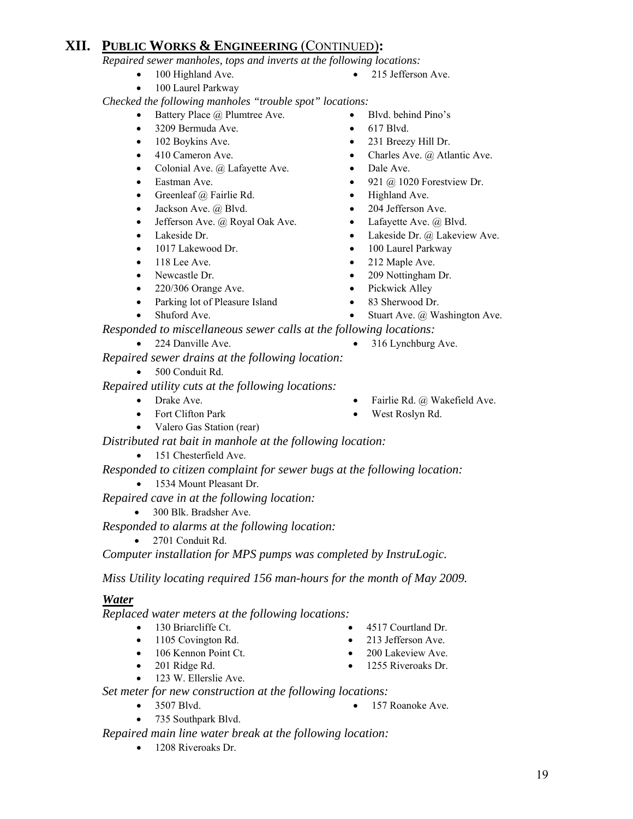*Repaired sewer manholes, tops and inverts at the following locations:* 

- 100 Highland Ave. 215 Jefferson Ave.
- 100 Laurel Parkway

*Checked the following manholes "trouble spot" locations:* 

- Battery Place @ Plumtree Ave. Blvd. behind Pino's
- 3209 Bermuda Ave. 617 Blvd.
- 102 Boykins Ave. 231 Breezy Hill Dr.
- 410 Cameron Ave. Charles Ave. @ Atlantic Ave.
- Colonial Ave. @ Lafayette Ave. Dale Ave.
- 
- Greenleaf @ Fairlie Rd. Highland Ave.
- Jackson Ave. @ Blvd. 204 Jefferson Ave.
- Jefferson Ave. @ Royal Oak Ave. Lafayette Ave. @ Blvd.
- 
- 
- 
- 
- 220/306 Orange Ave. Pickwick Alley
- Parking lot of Pleasure Island 83 Sherwood Dr.
- 
- Eastman Ave. 921 @ 1020 Forestview Dr.
	-
	-
	-
- Lakeside Dr. Lakeside Dr. @ Lakeside Dr. @ Lakeview Ave.
	- 1017 Lakewood Dr. 100 Laurel Parkway
- 118 Lee Ave. 212 Maple Ave.
- Newcastle Dr. 209 Nottingham Dr.
	-
	-
- Shuford Ave. Stuart Ave. @ Washington Ave.

 *Responded to miscellaneous sewer calls at the following locations:* 

- 
- 224 Danville Ave. 316 Lynchburg Ave.

*Repaired sewer drains at the following location:* 

• 500 Conduit Rd.

 *Repaired utility cuts at the following locations:* 

- Drake Ave.  **Fairlie Rd.** @ Wakefield Ave.
- Fort Clifton Park West Roslyn Rd.
- Valero Gas Station (rear)
- *Distributed rat bait in manhole at the following location:*
	- 151 Chesterfield Ave.

*Responded to citizen complaint for sewer bugs at the following location:* 

• 1534 Mount Pleasant Dr.

*Repaired cave in at the following location:* 

• 300 Blk. Bradsher Ave.

*Responded to alarms at the following location:* 

• 2701 Conduit Rd.

*Computer installation for MPS pumps was completed by InstruLogic.* 

*Miss Utility locating required 156 man-hours for the month of May 2009.* 

### *Water*

*Replaced water meters at the following locations:* 

- 130 Briarcliffe Ct. 4517 Courtland Dr.
- 1105 Covington Rd. 213 Jefferson Ave.
- 106 Kennon Point Ct. 200 Lakeview Ave.
- 
- 123 W. Ellerslie Ave.
- *Set meter for new construction at the following locations:* 
	-
	- 3507 Blvd. 157 Roanoke Ave.
	- 735 Southpark Blvd.

*Repaired main line water break at the following location:* 

• 1208 Riveroaks Dr.

- 
- 
- 
- 201 Ridge Rd. 1255 Riveroaks Dr.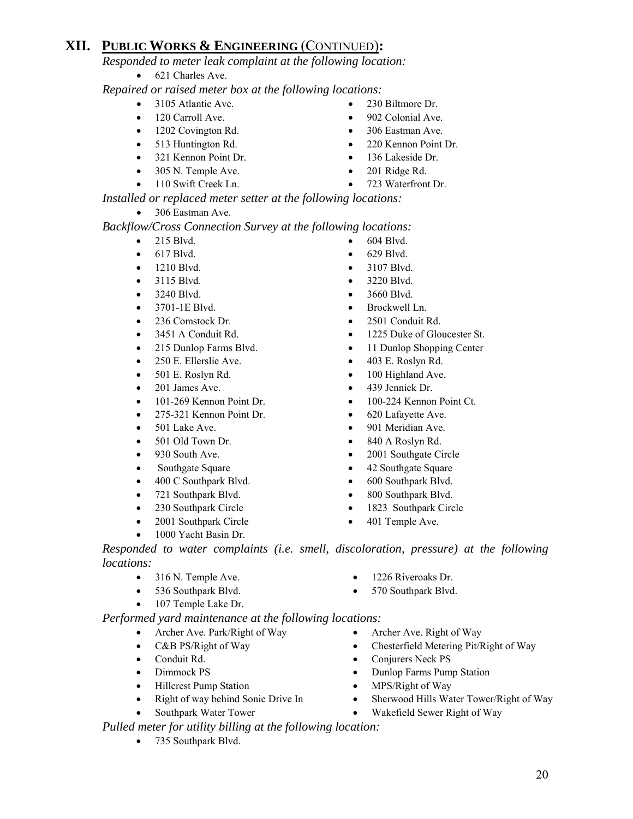*Responded to meter leak complaint at the following location:* 

• 621 Charles Ave.

 *Repaired or raised meter box at the following locations:* 

- 3105 Atlantic Ave. 230 Biltmore Dr.
- 120 Carroll Ave. 902 Colonial Ave.
- 1202 Covington Rd. 306 Eastman Ave.
- 513 Huntington Rd. 220 Kennon Point Dr.
- 321 Kennon Point Dr. 136 Lakeside Dr.
- 305 N. Temple Ave. 201 Ridge Rd.
- 110 Swift Creek Ln. 723 Waterfront Dr.
- 
- 
- 
- 
- 
- 

*Installed or replaced meter setter at the following locations:*

• 306 Eastman Ave.

*Backflow/Cross Connection Survey at the following locations:* 

- $215$  Blvd.  $\bullet$  604 Blvd.
- 617 Blvd. 629 Blvd.
- 
- 
- 
- 3701-1E Blvd. Brockwell Ln.
- 
- 
- 
- 250 E. Ellerslie Ave. 403 E. Roslyn Rd.
- 501 E. Roslyn Rd. 100 Highland Ave.
- 
- 101-269 Kennon Point Dr. 100-224 Kennon Point Ct.
- 275-321 Kennon Point Dr. 620 Lafayette Ave.
- 
- 
- 
- 
- 400 C Southpark Blvd. 600 Southpark Blvd.
- 721 Southpark Blvd. 800 Southpark Blvd.
- 
- 2001 Southpark Circle 401 Temple Ave.
- 1000 Yacht Basin Dr.
- 
- 
- 1210 Blvd. 3107 Blvd.
- 3115 Blvd. 3220 Blvd.
- 3240 Blvd. 3660 Blvd.
	-
- 236 Comstock Dr. 2501 Conduit Rd.
- 3451 A Conduit Rd. 1225 Duke of Gloucester St.
	- 215 Dunlop Farms Blvd. 11 Dunlop Shopping Center
		-
		-
	- 201 James Ave. 439 Jennick Dr.
		-
		-
	- for 501 Lake Ave. 901 Meridian Ave.
	- 501 Old Town Dr. 840 A Roslyn Rd.
- 930 South Ave. 2001 Southgate Circle
	- Southgate Square 42 Southgate Square
		-
		-
	- 230 Southpark Circle 1823 Southpark Circle
		-

*Responded to water complaints (i.e. smell, discoloration, pressure) at the following locations:* 

- 316 N. Temple Ave. 1226 Riveroaks Dr.
- 536 Southpark Blvd. 570 Southpark Blvd.
- 107 Temple Lake Dr.

*Performed yard maintenance at the following locations:* 

- Archer Ave. Park/Right of Way Archer Ave. Right of Way
- 
- 
- 
- 
- 
- 

*Pulled meter for utility billing at the following location:* 

• 735 Southpark Blvd.

- 
- 
- 
- C&B PS/Right of Way Chesterfield Metering Pit/Right of Way
- Conduit Rd. Conjurers Neck PS
- Dimmock PS Dunlop Farms Pump Station
	- Hillcrest Pump Station MPS/Right of Way
	- Right of way behind Sonic Drive In Sherwood Hills Water Tower/Right of Way
	- Southpark Water Tower Wakefield Sewer Right of Way